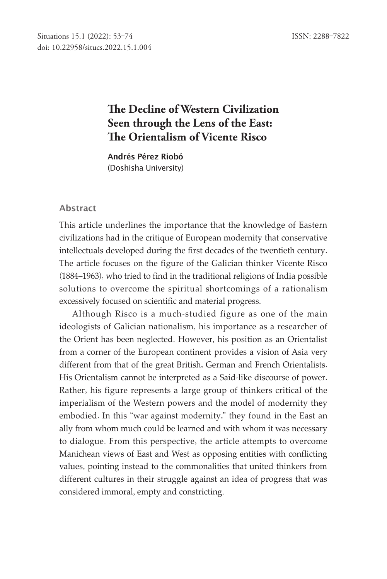# **!e Decline of Western Civilization Seen through the Lens of the East: !e Orientalism of Vicente Risco**

Andrés Pérez Riobó (Doshisha University)

#### Abstract

This article underlines the importance that the knowledge of Eastern civilizations had in the critique of European modernity that conservative intellectuals developed during the first decades of the twentieth century. The article focuses on the figure of the Galician thinker Vicente Risco (1884–1963), who tried to find in the traditional religions of India possible solutions to overcome the spiritual shortcomings of a rationalism excessively focused on scientific and material progress.

Although Risco is a much-studied figure as one of the main ideologists of Galician nationalism, his importance as a researcher of the Orient has been neglected. However, his position as an Orientalist from a corner of the European continent provides a vision of Asia very different from that of the great British, German and French Orientalists. His Orientalism cannot be interpreted as a Said-like discourse of power. Rather, his figure represents a large group of thinkers critical of the imperialism of the Western powers and the model of modernity they embodied. In this "war against modernity," they found in the East an ally from whom much could be learned and with whom it was necessary to dialogue. From this perspective, the article attempts to overcome Manichean views of East and West as opposing entities with conflicting values, pointing instead to the commonalities that united thinkers from different cultures in their struggle against an idea of progress that was considered immoral, empty and constricting.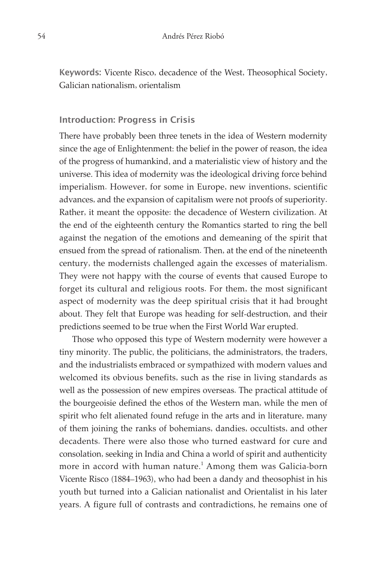Keywords: Vicente Risco, decadence of the West, Theosophical Society, Galician nationalism, orientalism

#### Introduction: Progress in Crisis

There have probably been three tenets in the idea of Western modernity since the age of Enlightenment: the belief in the power of reason, the idea of the progress of humankind, and a materialistic view of history and the universe. This idea of modernity was the ideological driving force behind imperialism. However, for some in Europe, new inventions, scientific advances, and the expansion of capitalism were not proofs of superiority. Rather, it meant the opposite: the decadence of Western civilization. At the end of the eighteenth century the Romantics started to ring the bell against the negation of the emotions and demeaning of the spirit that ensued from the spread of rationalism. Then, at the end of the nineteenth century, the modernists challenged again the excesses of materialism. They were not happy with the course of events that caused Europe to forget its cultural and religious roots. For them, the most significant aspect of modernity was the deep spiritual crisis that it had brought about. They felt that Europe was heading for self-destruction, and their predictions seemed to be true when the First World War erupted.

Those who opposed this type of Western modernity were however a tiny minority. The public, the politicians, the administrators, the traders, and the industrialists embraced or sympathized with modern values and welcomed its obvious benefits, such as the rise in living standards as well as the possession of new empires overseas. The practical attitude of the bourgeoisie defined the ethos of the Western man, while the men of spirit who felt alienated found refuge in the arts and in literature, many of them joining the ranks of bohemians, dandies, occultists, and other decadents. There were also those who turned eastward for cure and consolation, seeking in India and China a world of spirit and authenticity more in accord with human nature. 1 Among them was Galicia-born Vicente Risco (1884–1963), who had been a dandy and theosophist in his youth but turned into a Galician nationalist and Orientalist in his later years. A figure full of contrasts and contradictions, he remains one of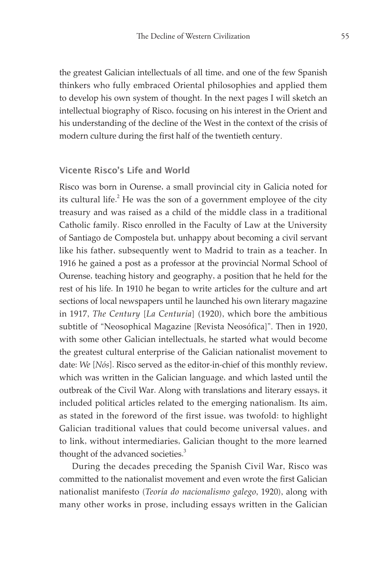the greatest Galician intellectuals of all time, and one of the few Spanish thinkers who fully embraced Oriental philosophies and applied them to develop his own system of thought. In the next pages I will sketch an intellectual biography of Risco, focusing on his interest in the Orient and his understanding of the decline of the West in the context of the crisis of modern culture during the first half of the twentieth century.

#### Vicente Risco's Life and World

Risco was born in Ourense, a small provincial city in Galicia noted for its cultural life. $^2$  He was the son of a government employee of the city treasury and was raised as a child of the middle class in a traditional Catholic family. Risco enrolled in the Faculty of Law at the University of Santiago de Compostela but, unhappy about becoming a civil servant like his father, subsequently went to Madrid to train as a teacher. In 1916 he gained a post as a professor at the provincial Normal School of Ourense, teaching history and geography, a position that he held for the rest of his life. In 1910 he began to write articles for the culture and art sections of local newspapers until he launched his own literary magazine in 1917, *The Century* [*La Centuria*] (1920), which bore the ambitious subtitle of "Neosophical Magazine [Revista Neosófica]". Then in 1920, with some other Galician intellectuals, he started what would become the greatest cultural enterprise of the Galician nationalist movement to date: *We* [*Nós*]. Risco served as the editor-in-chief of this monthly review, which was written in the Galician language, and which lasted until the outbreak of the Civil War. Along with translations and literary essays, it included political articles related to the emerging nationalism. Its aim, as stated in the foreword of the first issue, was twofold: to highlight Galician traditional values that could become universal values, and to link, without intermediaries, Galician thought to the more learned thought of the advanced societies.<sup>3</sup>

During the decades preceding the Spanish Civil War, Risco was committed to the nationalist movement and even wrote the first Galician nationalist manifesto (*Teoría do nacionalismo galego*, 1920), along with many other works in prose, including essays written in the Galician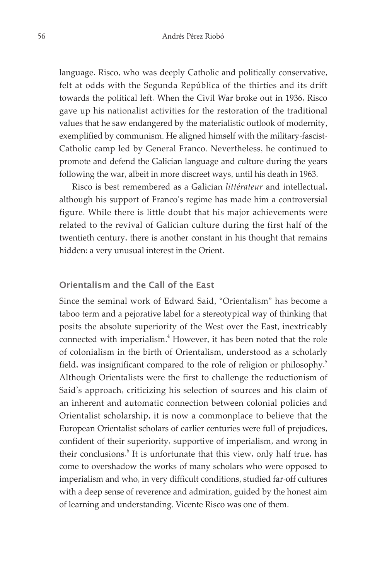language. Risco, who was deeply Catholic and politically conservative, felt at odds with the Segunda República of the thirties and its drift towards the political left. When the Civil War broke out in 1936, Risco gave up his nationalist activities for the restoration of the traditional values that he saw endangered by the materialistic outlook of modernity, exemplified by communism. He aligned himself with the military-fascist-Catholic camp led by General Franco. Nevertheless, he continued to promote and defend the Galician language and culture during the years following the war, albeit in more discreet ways, until his death in 1963.

Risco is best remembered as a Galician *littérateur* and intellectual, although his support of Franco's regime has made him a controversial figure. While there is little doubt that his major achievements were related to the revival of Galician culture during the first half of the twentieth century, there is another constant in his thought that remains hidden: a very unusual interest in the Orient.

### Orientalism and the Call of the East

Since the seminal work of Edward Said, "Orientalism" has become a taboo term and a pejorative label for a stereotypical way of thinking that posits the absolute superiority of the West over the East, inextricably connected with imperialism. 4 However, it has been noted that the role of colonialism in the birth of Orientalism, understood as a scholarly field, was insignificant compared to the role of religion or philosophy.<sup>5</sup> Although Orientalists were the first to challenge the reductionism of Said's approach, criticizing his selection of sources and his claim of an inherent and automatic connection between colonial policies and Orientalist scholarship, it is now a commonplace to believe that the European Orientalist scholars of earlier centuries were full of prejudices, confident of their superiority, supportive of imperialism, and wrong in their conclusions.<sup>6</sup> It is unfortunate that this view, only half true, has come to overshadow the works of many scholars who were opposed to imperialism and who, in very difficult conditions, studied far-off cultures with a deep sense of reverence and admiration, guided by the honest aim of learning and understanding. Vicente Risco was one of them.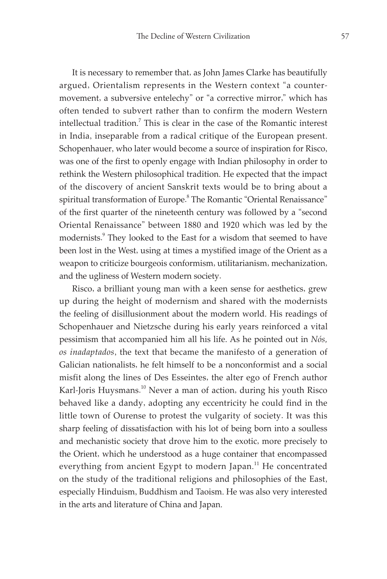It is necessary to remember that, as John James Clarke has beautifully argued, Orientalism represents in the Western context "a countermovement, a subversive entelechy" or "a corrective mirror," which has often tended to subvert rather than to confirm the modern Western intellectual tradition. 7 This is clear in the case of the Romantic interest in India, inseparable from a radical critique of the European present. Schopenhauer, who later would become a source of inspiration for Risco, was one of the first to openly engage with Indian philosophy in order to rethink the Western philosophical tradition. He expected that the impact of the discovery of ancient Sanskrit texts would be to bring about a spiritual transformation of Europe. 8 The Romantic "Oriental Renaissance" of the first quarter of the nineteenth century was followed by a "second Oriental Renaissance" between 1880 and 1920 which was led by the modernists. 9 They looked to the East for a wisdom that seemed to have been lost in the West, using at times a mystified image of the Orient as a weapon to criticize bourgeois conformism, utilitarianism, mechanization, and the ugliness of Western modern society.

Risco, a brilliant young man with a keen sense for aesthetics, grew up during the height of modernism and shared with the modernists the feeling of disillusionment about the modern world. His readings of Schopenhauer and Nietzsche during his early years reinforced a vital pessimism that accompanied him all his life. As he pointed out in *Nós, os inadaptados*, the text that became the manifesto of a generation of Galician nationalists, he felt himself to be a nonconformist and a social misfit along the lines of Des Esseintes, the alter ego of French author Karl-Joris Huysmans.<sup>10</sup> Never a man of action, during his youth Risco behaved like a dandy, adopting any eccentricity he could find in the little town of Ourense to protest the vulgarity of society. It was this sharp feeling of dissatisfaction with his lot of being born into a soulless and mechanistic society that drove him to the exotic, more precisely to the Orient, which he understood as a huge container that encompassed everything from ancient Egypt to modern Japan.<sup>11</sup> He concentrated on the study of the traditional religions and philosophies of the East, especially Hinduism, Buddhism and Taoism. He was also very interested in the arts and literature of China and Japan.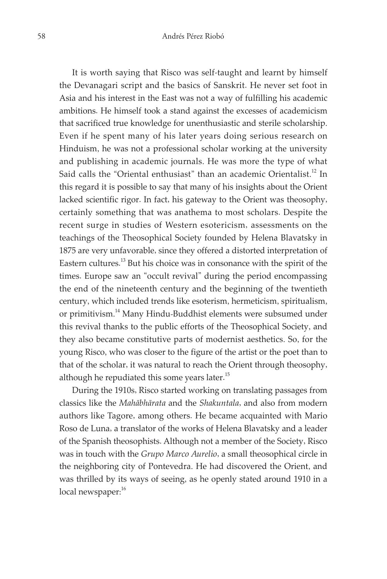It is worth saying that Risco was self-taught and learnt by himself the Devanagari script and the basics of Sanskrit. He never set foot in Asia and his interest in the East was not a way of fulfilling his academic ambitions. He himself took a stand against the excesses of academicism that sacrificed true knowledge for unenthusiastic and sterile scholarship. Even if he spent many of his later years doing serious research on Hinduism, he was not a professional scholar working at the university and publishing in academic journals. He was more the type of what Said calls the "Oriental enthusiast" than an academic Orientalist.<sup>12</sup> In this regard it is possible to say that many of his insights about the Orient lacked scientific rigor. In fact, his gateway to the Orient was theosophy, certainly something that was anathema to most scholars. Despite the recent surge in studies of Western esotericism, assessments on the teachings of the Theosophical Society founded by Helena Blavatsky in 1875 are very unfavorable, since they offered a distorted interpretation of Eastern cultures.<sup>13</sup> But his choice was in consonance with the spirit of the times. Europe saw an "occult revival" during the period encompassing the end of the nineteenth century and the beginning of the twentieth century, which included trends like esoterism, hermeticism, spiritualism, or primitivism.<sup>14</sup> Many Hindu-Buddhist elements were subsumed under this revival thanks to the public efforts of the Theosophical Society, and they also became constitutive parts of modernist aesthetics. So, for the young Risco, who was closer to the figure of the artist or the poet than to that of the scholar, it was natural to reach the Orient through theosophy, although he repudiated this some years later.<sup>15</sup>

During the 1910s, Risco started working on translating passages from classics like the *Mahābhārata* and the *Shakuntala*, and also from modern authors like Tagore, among others. He became acquainted with Mario Roso de Luna, a translator of the works of Helena Blavatsky and a leader of the Spanish theosophists. Although not a member of the Society, Risco was in touch with the *Grupo Marco Aurelio*, a small theosophical circle in the neighboring city of Pontevedra. He had discovered the Orient, and was thrilled by its ways of seeing, as he openly stated around 1910 in a local newspaper:<sup>16</sup>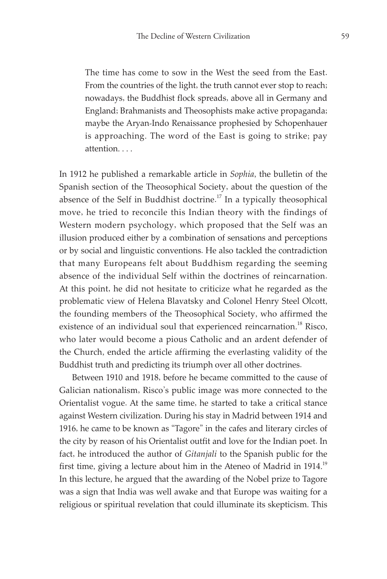The time has come to sow in the West the seed from the East. From the countries of the light, the truth cannot ever stop to reach; nowadays, the Buddhist flock spreads, above all in Germany and England; Brahmanists and Theosophists make active propaganda; maybe the Aryan-Indo Renaissance prophesied by Schopenhauer is approaching. The word of the East is going to strike; pay attention. . . .

In 1912 he published a remarkable article in *Sophia*, the bulletin of the Spanish section of the Theosophical Society, about the question of the absence of the Self in Buddhist doctrine.<sup>17</sup> In a typically theosophical move, he tried to reconcile this Indian theory with the findings of Western modern psychology, which proposed that the Self was an illusion produced either by a combination of sensations and perceptions or by social and linguistic conventions. He also tackled the contradiction that many Europeans felt about Buddhism regarding the seeming absence of the individual Self within the doctrines of reincarnation. At this point, he did not hesitate to criticize what he regarded as the problematic view of Helena Blavatsky and Colonel Henry Steel Olcott, the founding members of the Theosophical Society, who affirmed the existence of an individual soul that experienced reincarnation.<sup>18</sup> Risco, who later would become a pious Catholic and an ardent defender of the Church, ended the article affirming the everlasting validity of the Buddhist truth and predicting its triumph over all other doctrines.

Between 1910 and 1918, before he became committed to the cause of Galician nationalism, Risco's public image was more connected to the Orientalist vogue. At the same time, he started to take a critical stance against Western civilization. During his stay in Madrid between 1914 and 1916, he came to be known as "Tagore" in the cafes and literary circles of the city by reason of his Orientalist outfit and love for the Indian poet. In fact, he introduced the author of *Gitanjali* to the Spanish public for the first time, giving a lecture about him in the Ateneo of Madrid in 1914.<sup>19</sup> In this lecture, he argued that the awarding of the Nobel prize to Tagore was a sign that India was well awake and that Europe was waiting for a religious or spiritual revelation that could illuminate its skepticism. This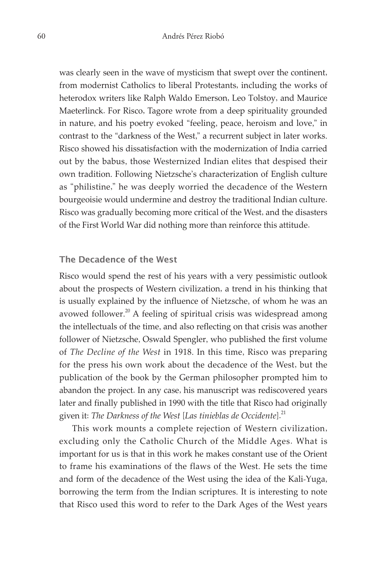was clearly seen in the wave of mysticism that swept over the continent, from modernist Catholics to liberal Protestants, including the works of heterodox writers like Ralph Waldo Emerson, Leo Tolstoy, and Maurice Maeterlinck. For Risco, Tagore wrote from a deep spirituality grounded in nature, and his poetry evoked "feeling, peace, heroism and love," in contrast to the "darkness of the West," a recurrent subject in later works. Risco showed his dissatisfaction with the modernization of India carried out by the babus, those Westernized Indian elites that despised their own tradition. Following Nietzsche's characterization of English culture as "philistine," he was deeply worried the decadence of the Western bourgeoisie would undermine and destroy the traditional Indian culture. Risco was gradually becoming more critical of the West, and the disasters of the First World War did nothing more than reinforce this attitude.

#### The Decadence of the West

Risco would spend the rest of his years with a very pessimistic outlook about the prospects of Western civilization, a trend in his thinking that is usually explained by the influence of Nietzsche, of whom he was an avowed follower.<sup>20</sup> A feeling of spiritual crisis was widespread among the intellectuals of the time, and also reflecting on that crisis was another follower of Nietzsche, Oswald Spengler, who published the first volume of *The Decline of the West* in 1918. In this time, Risco was preparing for the press his own work about the decadence of the West, but the publication of the book by the German philosopher prompted him to abandon the project. In any case, his manuscript was rediscovered years later and finally published in 1990 with the title that Risco had originally given it: *The Darkness of the West* [Las tinieblas de Occidente].<sup>21</sup>

This work mounts a complete rejection of Western civilization, excluding only the Catholic Church of the Middle Ages. What is important for us is that in this work he makes constant use of the Orient to frame his examinations of the flaws of the West. He sets the time and form of the decadence of the West using the idea of the Kali-Yuga, borrowing the term from the Indian scriptures. It is interesting to note that Risco used this word to refer to the Dark Ages of the West years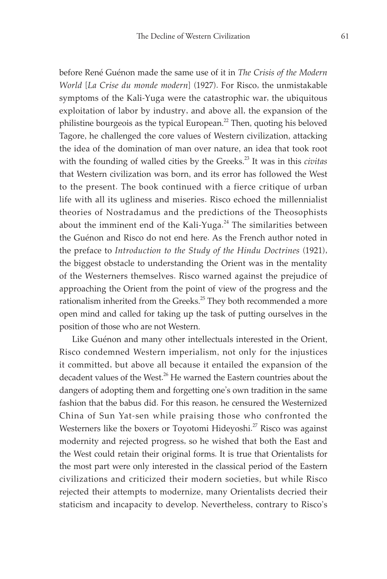before René Guénon made the same use of it in *The Crisis of the Modern World* [*La Crise du monde modern*] (1927). For Risco, the unmistakable symptoms of the Kali-Yuga were the catastrophic war, the ubiquitous exploitation of labor by industry, and above all, the expansion of the philistine bourgeois as the typical European.<sup>22</sup> Then, quoting his beloved Tagore, he challenged the core values of Western civilization, attacking the idea of the domination of man over nature, an idea that took root with the founding of walled cities by the Greeks. 23 It was in this *civitas* that Western civilization was born, and its error has followed the West to the present. The book continued with a fierce critique of urban life with all its ugliness and miseries. Risco echoed the millennialist theories of Nostradamus and the predictions of the Theosophists about the imminent end of the Kali-Yuga.<sup>24</sup> The similarities between the Guénon and Risco do not end here. As the French author noted in the preface to *Introduction to the Study of the Hindu Doctrines* (1921), the biggest obstacle to understanding the Orient was in the mentality of the Westerners themselves. Risco warned against the prejudice of approaching the Orient from the point of view of the progress and the rationalism inherited from the Greeks.<sup>25</sup> They both recommended a more open mind and called for taking up the task of putting ourselves in the position of those who are not Western.

Like Guénon and many other intellectuals interested in the Orient, Risco condemned Western imperialism, not only for the injustices it committed, but above all because it entailed the expansion of the decadent values of the West.<sup>26</sup> He warned the Eastern countries about the dangers of adopting them and forgetting one's own tradition in the same fashion that the babus did. For this reason, he censured the Westernized China of Sun Yat-sen while praising those who confronted the Westerners like the boxers or Toyotomi Hideyoshi.<sup>27</sup> Risco was against modernity and rejected progress, so he wished that both the East and the West could retain their original forms. It is true that Orientalists for the most part were only interested in the classical period of the Eastern civilizations and criticized their modern societies, but while Risco rejected their attempts to modernize, many Orientalists decried their staticism and incapacity to develop. Nevertheless, contrary to Risco's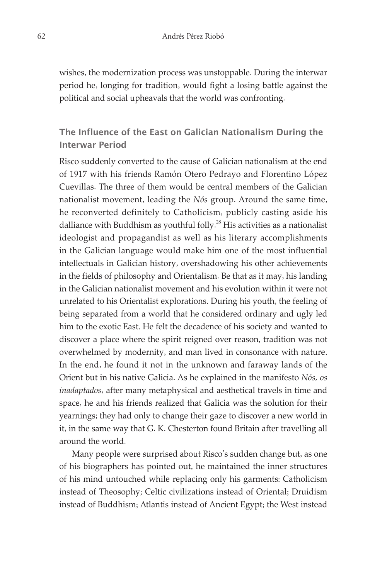wishes, the modernization process was unstoppable. During the interwar period he, longing for tradition, would fight a losing battle against the political and social upheavals that the world was confronting.

## The Influence of the East on Galician Nationalism During the Interwar Period

Risco suddenly converted to the cause of Galician nationalism at the end of 1917 with his friends Ramón Otero Pedrayo and Florentino López Cuevillas. The three of them would be central members of the Galician nationalist movement, leading the *Nós* group. Around the same time, he reconverted definitely to Catholicism, publicly casting aside his dalliance with Buddhism as youthful folly. $^{28}$  His activities as a nationalist ideologist and propagandist as well as his literary accomplishments in the Galician language would make him one of the most influential intellectuals in Galician history, overshadowing his other achievements in the fields of philosophy and Orientalism. Be that as it may, his landing in the Galician nationalist movement and his evolution within it were not unrelated to his Orientalist explorations. During his youth, the feeling of being separated from a world that he considered ordinary and ugly led him to the exotic East. He felt the decadence of his society and wanted to discover a place where the spirit reigned over reason, tradition was not overwhelmed by modernity, and man lived in consonance with nature. In the end, he found it not in the unknown and faraway lands of the Orient but in his native Galicia. As he explained in the manifesto *Nós, os inadaptados*, after many metaphysical and aesthetical travels in time and space, he and his friends realized that Galicia was the solution for their yearnings; they had only to change their gaze to discover a new world in it, in the same way that G. K. Chesterton found Britain after travelling all around the world.

Many people were surprised about Risco's sudden change but, as one of his biographers has pointed out, he maintained the inner structures of his mind untouched while replacing only his garments: Catholicism instead of Theosophy; Celtic civilizations instead of Oriental; Druidism instead of Buddhism; Atlantis instead of Ancient Egypt; the West instead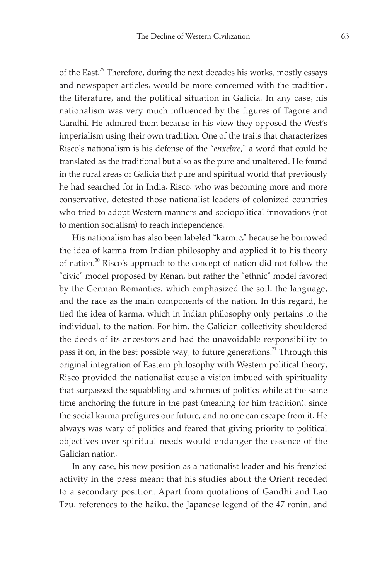of the East.<sup>29</sup> Therefore, during the next decades his works, mostly essays and newspaper articles, would be more concerned with the tradition, the literature, and the political situation in Galicia. In any case, his nationalism was very much influenced by the figures of Tagore and Gandhi. He admired them because in his view they opposed the West's imperialism using their own tradition. One of the traits that characterizes Risco's nationalism is his defense of the "*enxebre,*" a word that could be translated as the traditional but also as the pure and unaltered. He found in the rural areas of Galicia that pure and spiritual world that previously he had searched for in India. Risco, who was becoming more and more conservative, detested those nationalist leaders of colonized countries who tried to adopt Western manners and sociopolitical innovations (not to mention socialism) to reach independence.

His nationalism has also been labeled "karmic," because he borrowed the idea of karma from Indian philosophy and applied it to his theory of nation.<sup>30</sup> Risco's approach to the concept of nation did not follow the "civic" model proposed by Renan, but rather the "ethnic" model favored by the German Romantics, which emphasized the soil, the language, and the race as the main components of the nation. In this regard, he tied the idea of karma, which in Indian philosophy only pertains to the individual, to the nation. For him, the Galician collectivity shouldered the deeds of its ancestors and had the unavoidable responsibility to pass it on, in the best possible way, to future generations.<sup>31</sup> Through this original integration of Eastern philosophy with Western political theory, Risco provided the nationalist cause a vision imbued with spirituality that surpassed the squabbling and schemes of politics while at the same time anchoring the future in the past (meaning for him tradition), since the social karma prefigures our future, and no one can escape from it. He always was wary of politics and feared that giving priority to political objectives over spiritual needs would endanger the essence of the Galician nation.

In any case, his new position as a nationalist leader and his frenzied activity in the press meant that his studies about the Orient receded to a secondary position. Apart from quotations of Gandhi and Lao Tzu, references to the haiku, the Japanese legend of the 47 ronin, and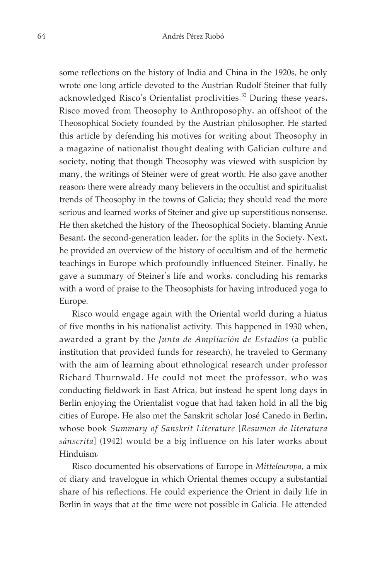some reflections on the history of India and China in the 1920s, he only wrote one long article devoted to the Austrian Rudolf Steiner that fully acknowledged Risco's Orientalist proclivities. 32 During these years, Risco moved from Theosophy to Anthroposophy, an offshoot of the Theosophical Society founded by the Austrian philosopher. He started this article by defending his motives for writing about Theosophy in a magazine of nationalist thought dealing with Galician culture and society, noting that though Theosophy was viewed with suspicion by many, the writings of Steiner were of great worth. He also gave another reason: there were already many believers in the occultist and spiritualist trends of Theosophy in the towns of Galicia; they should read the more serious and learned works of Steiner and give up superstitious nonsense. He then sketched the history of the Theosophical Society, blaming Annie Besant, the second-generation leader, for the splits in the Society. Next, he provided an overview of the history of occultism and of the hermetic teachings in Europe which profoundly influenced Steiner. Finally, he gave a summary of Steiner's life and works, concluding his remarks with a word of praise to the Theosophists for having introduced yoga to Europe.

Risco would engage again with the Oriental world during a hiatus of five months in his nationalist activity. This happened in 1930 when, awarded a grant by the *Junta de Ampliación de Estudios* (a public institution that provided funds for research), he traveled to Germany with the aim of learning about ethnological research under professor Richard Thurnwald. He could not meet the professor, who was conducting fieldwork in East Africa, but instead he spent long days in Berlin enjoying the Orientalist vogue that had taken hold in all the big cities of Europe. He also met the Sanskrit scholar José Canedo in Berlin, whose book *¢ȱȱȱ* [*Resumen de literatura sánscrita*] (1942) would be a big influence on his later works about Hinduism.

Risco documented his observations of Europe in *Mitteleuropa*, a mix of diary and travelogue in which Oriental themes occupy a substantial share of his reflections. He could experience the Orient in daily life in Berlin in ways that at the time were not possible in Galicia. He attended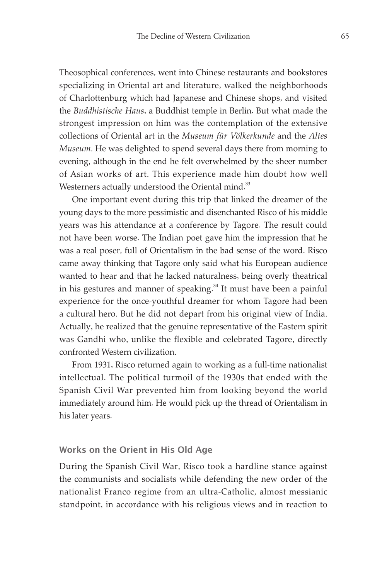Theosophical conferences, went into Chinese restaurants and bookstores specializing in Oriental art and literature, walked the neighborhoods of Charlottenburg which had Japanese and Chinese shops, and visited the *Buddhistische Haus*, a Buddhist temple in Berlin. But what made the strongest impression on him was the contemplation of the extensive collections of Oriental art in the *Museum für Völkerkunde* and the *Altes Museum*. He was delighted to spend several days there from morning to evening, although in the end he felt overwhelmed by the sheer number of Asian works of art. This experience made him doubt how well Westerners actually understood the Oriental mind.<sup>33</sup>

One important event during this trip that linked the dreamer of the young days to the more pessimistic and disenchanted Risco of his middle years was his attendance at a conference by Tagore. The result could not have been worse. The Indian poet gave him the impression that he was a real poser, full of Orientalism in the bad sense of the word. Risco came away thinking that Tagore only said what his European audience wanted to hear and that he lacked naturalness, being overly theatrical in his gestures and manner of speaking. 34 It must have been a painful experience for the once-youthful dreamer for whom Tagore had been a cultural hero. But he did not depart from his original view of India. Actually, he realized that the genuine representative of the Eastern spirit was Gandhi who, unlike the flexible and celebrated Tagore, directly confronted Western civilization.

From 1931, Risco returned again to working as a full-time nationalist intellectual. The political turmoil of the 1930s that ended with the Spanish Civil War prevented him from looking beyond the world immediately around him. He would pick up the thread of Orientalism in his later years.

#### Works on the Orient in His Old Age

During the Spanish Civil War, Risco took a hardline stance against the communists and socialists while defending the new order of the nationalist Franco regime from an ultra-Catholic, almost messianic standpoint, in accordance with his religious views and in reaction to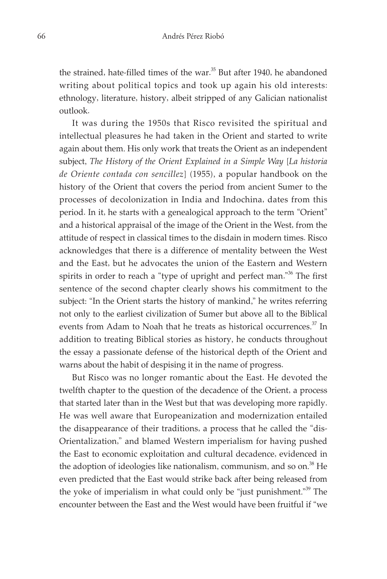the strained, hate-filled times of the war. 35 But after 1940, he abandoned writing about political topics and took up again his old interests: ethnology, literature, history, albeit stripped of any Galician nationalist outlook.

It was during the 1950s that Risco revisited the spiritual and intellectual pleasures he had taken in the Orient and started to write again about them. His only work that treats the Orient as an independent subject, *The History of the Orient Explained in a Simple Way* [*La historia de Oriente contada con sencillez*] (1955), a popular handbook on the history of the Orient that covers the period from ancient Sumer to the processes of decolonization in India and Indochina, dates from this period. In it, he starts with a genealogical approach to the term "Orient" and a historical appraisal of the image of the Orient in the West, from the attitude of respect in classical times to the disdain in modern times. Risco acknowledges that there is a difference of mentality between the West and the East, but he advocates the union of the Eastern and Western spirits in order to reach a "type of upright and perfect man."36 The first sentence of the second chapter clearly shows his commitment to the subject: "In the Orient starts the history of mankind," he writes referring not only to the earliest civilization of Sumer but above all to the Biblical events from Adam to Noah that he treats as historical occurrences.<sup>37</sup> In addition to treating Biblical stories as history, he conducts throughout the essay a passionate defense of the historical depth of the Orient and warns about the habit of despising it in the name of progress.

But Risco was no longer romantic about the East. He devoted the twelfth chapter to the question of the decadence of the Orient, a process that started later than in the West but that was developing more rapidly. He was well aware that Europeanization and modernization entailed the disappearance of their traditions, a process that he called the "dis-Orientalization," and blamed Western imperialism for having pushed the East to economic exploitation and cultural decadence, evidenced in the adoption of ideologies like nationalism, communism, and so on.<sup>38</sup> He even predicted that the East would strike back after being released from the yoke of imperialism in what could only be "just punishment."<sup>39</sup> The encounter between the East and the West would have been fruitful if "we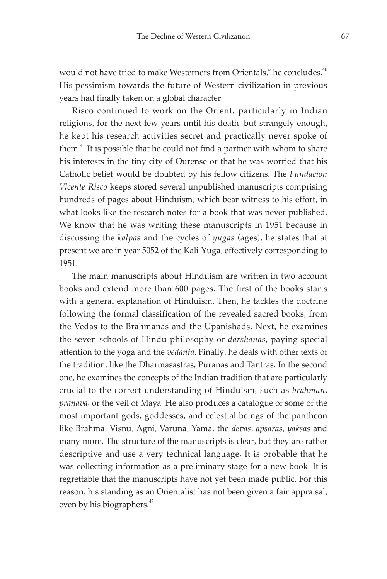would not have tried to make Westerners from Orientals," he concludes.<sup>40</sup> His pessimism towards the future of Western civilization in previous years had finally taken on a global character.

Risco continued to work on the Orient, particularly in Indian religions, for the next few years until his death, but strangely enough, he kept his research activities secret and practically never spoke of them.<sup>41</sup> It is possible that he could not find a partner with whom to share his interests in the tiny city of Ourense or that he was worried that his Catholic belief would be doubted by his fellow citizens. The *Fundación Vicente Risco* keeps stored several unpublished manuscripts comprising hundreds of pages about Hinduism, which bear witness to his effort, in what looks like the research notes for a book that was never published. We know that he was writing these manuscripts in 1951 because in discussing the *kalpas* and the cycles of *yugas* (ages), he states that at present we are in year 5052 of the Kali-Yuga, effectively corresponding to 1951.

The main manuscripts about Hinduism are written in two account books and extend more than 600 pages. The first of the books starts with a general explanation of Hinduism. Then, he tackles the doctrine following the formal classification of the revealed sacred books, from the Vedas to the Brahmanas and the Upanishads. Next, he examines the seven schools of Hindu philosophy or *darshanas*, paying special attention to the yoga and the *vedanta*. Finally, he deals with other texts of the tradition, like the Dharmasastras, Puranas and Tantras. In the second one, he examines the concepts of the Indian tradition that are particularly crucial to the correct understanding of Hinduism, such as *brahman*, *pranava*, or the veil of Maya. He also produces a catalogue of some of the most important gods, goddesses, and celestial beings of the pantheon like Brahma, Visnu, Agni, Varuna, Yama, the *devas, apsaras, yaksas* and many more. The structure of the manuscripts is clear, but they are rather descriptive and use a very technical language. It is probable that he was collecting information as a preliminary stage for a new book. It is regrettable that the manuscripts have not yet been made public. For this reason, his standing as an Orientalist has not been given a fair appraisal, even by his biographers.<sup>42</sup>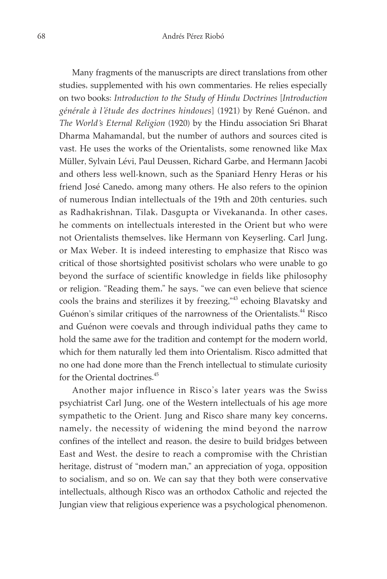Many fragments of the manuscripts are direct translations from other studies, supplemented with his own commentaries. He relies especially on two books: *Introduction to the Study of Hindu Doctrines* [*Introduction générale à l'étude des doctrines hindoues*] (1921) by René Guénon, and *The World's Eternal Religion* (1920) by the Hindu association Sri Bharat Dharma Mahamandal, but the number of authors and sources cited is vast. He uses the works of the Orientalists, some renowned like Max Müller, Sylvain Lévi, Paul Deussen, Richard Garbe, and Hermann Jacobi and others less well-known, such as the Spaniard Henry Heras or his friend José Canedo, among many others. He also refers to the opinion of numerous Indian intellectuals of the 19th and 20th centuries, such as Radhakrishnan, Tilak, Dasgupta or Vivekananda. In other cases, he comments on intellectuals interested in the Orient but who were not Orientalists themselves, like Hermann von Keyserling, Carl Jung, or Max Weber. It is indeed interesting to emphasize that Risco was critical of those shortsighted positivist scholars who were unable to go beyond the surface of scientific knowledge in fields like philosophy or religion. "Reading them," he says, "we can even believe that science cools the brains and sterilizes it by freezing,"<sup>43</sup> echoing Blavatsky and Guénon's similar critiques of the narrowness of the Orientalists.<sup>44</sup> Risco and Guénon were coevals and through individual paths they came to hold the same awe for the tradition and contempt for the modern world, which for them naturally led them into Orientalism. Risco admitted that no one had done more than the French intellectual to stimulate curiosity for the Oriental doctrines. 45

Another major influence in Risco's later years was the Swiss psychiatrist Carl Jung, one of the Western intellectuals of his age more sympathetic to the Orient. Jung and Risco share many key concerns, namely, the necessity of widening the mind beyond the narrow confines of the intellect and reason, the desire to build bridges between East and West, the desire to reach a compromise with the Christian heritage, distrust of "modern man," an appreciation of yoga, opposition to socialism, and so on. We can say that they both were conservative intellectuals, although Risco was an orthodox Catholic and rejected the Jungian view that religious experience was a psychological phenomenon.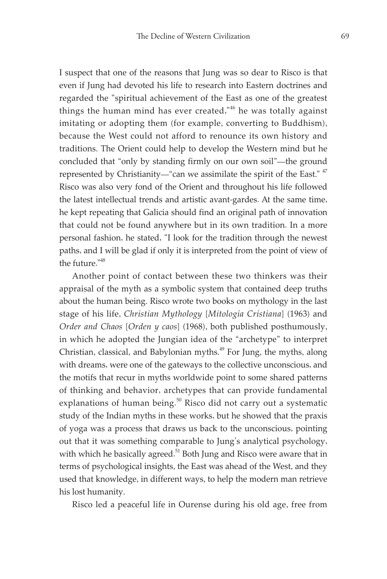I suspect that one of the reasons that Jung was so dear to Risco is that even if Jung had devoted his life to research into Eastern doctrines and regarded the "spiritual achievement of the East as one of the greatest things the human mind has ever created,"<sup>46</sup> he was totally against imitating or adopting them (for example, converting to Buddhism), because the West could not afford to renounce its own history and traditions. The Orient could help to develop the Western mind but he concluded that "only by standing firmly on our own soil"—the ground represented by Christianity—"can we assimilate the spirit of the East." <sup>47</sup> Risco was also very fond of the Orient and throughout his life followed the latest intellectual trends and artistic avant-gardes. At the same time, he kept repeating that Galicia should find an original path of innovation that could not be found anywhere but in its own tradition. In a more personal fashion, he stated, "I look for the tradition through the newest paths, and I will be glad if only it is interpreted from the point of view of the future."<sup>48</sup>

Another point of contact between these two thinkers was their appraisal of the myth as a symbolic system that contained deep truths about the human being. Risco wrote two books on mythology in the last stage of his life, *Christian Mythology* [*Mitología Cristiana*] (1963) and *Order and Chaos* [*Orden y caos*] (1968), both published posthumously, in which he adopted the Jungian idea of the "archetype" to interpret Christian, classical, and Babylonian myths. 49 For Jung, the myths, along with dreams, were one of the gateways to the collective unconscious, and the motifs that recur in myths worldwide point to some shared patterns of thinking and behavior, archetypes that can provide fundamental explanations of human being.<sup>50</sup> Risco did not carry out a systematic study of the Indian myths in these works, but he showed that the praxis of yoga was a process that draws us back to the unconscious, pointing out that it was something comparable to Jung's analytical psychology, with which he basically agreed.<sup>51</sup> Both Jung and Risco were aware that in terms of psychological insights, the East was ahead of the West, and they used that knowledge, in different ways, to help the modern man retrieve his lost humanity.

Risco led a peaceful life in Ourense during his old age, free from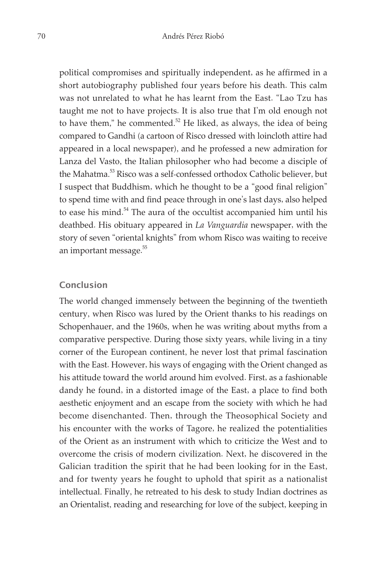political compromises and spiritually independent, as he affirmed in a short autobiography published four years before his death. This calm was not unrelated to what he has learnt from the East. "Lao Tzu has taught me not to have projects. It is also true that I'm old enough not to have them," he commented. $52$  He liked, as always, the idea of being compared to Gandhi (a cartoon of Risco dressed with loincloth attire had appeared in a local newspaper), and he professed a new admiration for Lanza del Vasto, the Italian philosopher who had become a disciple of the Mahatma. 53 Risco was a self-confessed orthodox Catholic believer, but I suspect that Buddhism, which he thought to be a "good final religion" to spend time with and find peace through in one's last days, also helped to ease his mind.<sup>54</sup> The aura of the occultist accompanied him until his deathbed. His obituary appeared in *La Vanguardia* newspaper, with the story of seven "oriental knights" from whom Risco was waiting to receive an important message. 55

#### Conclusion

The world changed immensely between the beginning of the twentieth century, when Risco was lured by the Orient thanks to his readings on Schopenhauer, and the 1960s, when he was writing about myths from a comparative perspective. During those sixty years, while living in a tiny corner of the European continent, he never lost that primal fascination with the East. However, his ways of engaging with the Orient changed as his attitude toward the world around him evolved. First, as a fashionable dandy he found, in a distorted image of the East, a place to find both aesthetic enjoyment and an escape from the society with which he had become disenchanted. Then, through the Theosophical Society and his encounter with the works of Tagore, he realized the potentialities of the Orient as an instrument with which to criticize the West and to overcome the crisis of modern civilization. Next, he discovered in the Galician tradition the spirit that he had been looking for in the East, and for twenty years he fought to uphold that spirit as a nationalist intellectual. Finally, he retreated to his desk to study Indian doctrines as an Orientalist, reading and researching for love of the subject, keeping in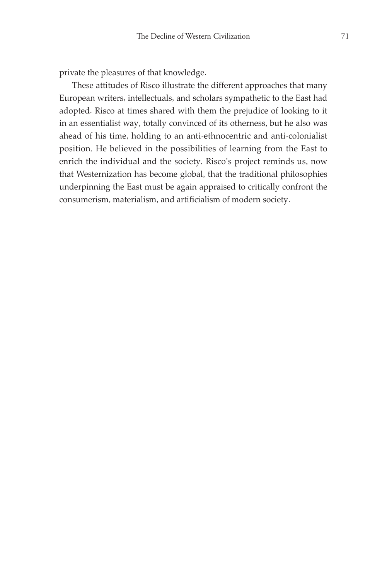private the pleasures of that knowledge.

These attitudes of Risco illustrate the different approaches that many European writers, intellectuals, and scholars sympathetic to the East had adopted. Risco at times shared with them the prejudice of looking to it in an essentialist way, totally convinced of its otherness, but he also was ahead of his time, holding to an anti-ethnocentric and anti-colonialist position. He believed in the possibilities of learning from the East to enrich the individual and the society. Risco's project reminds us, now that Westernization has become global, that the traditional philosophies underpinning the East must be again appraised to critically confront the consumerism, materialism, and artificialism of modern society.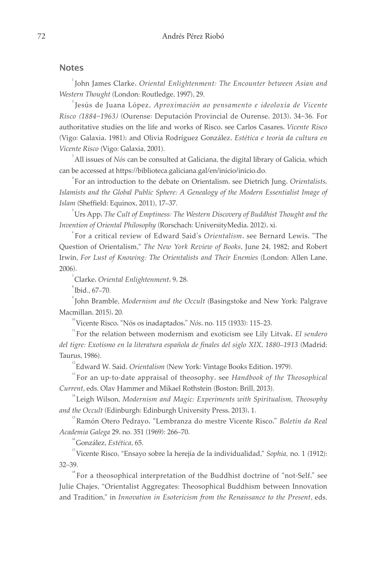#### Notes

1 John James Clarke, *Oriental Enlightenment: The Encounter between Asian and Western Thought* (London: Routledge, 1997), 29.

2 Jesús de Juana López, *Aproximación ao pensamento e ideoloxía de Vicente Risco (1884-1963)* (Ourense: Deputación Provincial de Ourense, 2013), 34-36. For authoritative studies on the life and works of Risco, see Carlos Casares, *Vicente Risco* (Vigo: Galaxia, 1981); and Olivia Rodríguez González, *Estética e teoría da cultura en Vicente Risco* (Vigo: Galaxia, 2001).

3 All issues of *Nós* can be consulted at Galiciana, the digital library of Galicia, which can be accessed at https://biblioteca.galiciana.gal/en/inicio/inicio.do.

4 For an introduction to the debate on Orientalism, see Dietrich Jung, *Orientalists, Islamists and the Global Public Sphere: A Genealogy of the Modern Essentialist Image of Islam* (Sheffield: Equinox, 2011), 17–37.

5 Urs App, *The Cult of Emptiness: The Western Discovery of Buddhist Thought and the Invention of Oriental Philosophy* (Rorschach: UniversityMedia, 2012), xi.

6 For a critical review of Edward Said's *Orientalism*, see Bernard Lewis, "The Question of Orientalism," *The New York Review of Books*, June 24, 1982; and Robert Irwin, *For Lust of Knowing: The Orientalists and Their Enemies* (London: Allen Lane, 2006).

7 Clarke, *Oriental Enlightenment*, 9, 28.

 $\mathrm{^{8}}$ Ibid., 67–70.

9 John Bramble, *Modernism and the Occult* (Basingstoke and New York: Palgrave Macmillan, 2015), 20.

10 Vicente Risco, "Nós os inadaptados," *Nós*, no. 115 (1933): 115–23.

11 For the relation between modernism and exoticism see Lily Litvak, *El sendero del tigre: Exotismo en la literatura española de finales del siglo XIX*, *1880–1913* (Madrid: Taurus, 1986).

<sup>12</sup> Edward W. Said, *Orientalism* (New York: Vintage Books Edition, 1979).

<sup>13</sup> For an up-to-date appraisal of theosophy, see *Handbook of the Theosophical Current*, eds. Olav Hammer and Mikael Rothstein (Boston: Brill, 2013).

14 Leigh Wilson, *Modernism and Magic: Experiments with Spiritualism, Theosophy and the Occult* (Edinburgh: Edinburgh University Press, 2013), 1.

15 Ramón Otero Pedrayo, "Lembranza do mestre Vicente Risco," *Boletín da Real Academia Galega* 29, no. 351 (1969): 266–70.

16 González, *Estética*, 65.

17 Vicente Risco, "Ensayo sobre la herejía de la individualidad," *Sophia,* no. 1 (1912): 32–39.

 $18$  For a theosophical interpretation of the Buddhist doctrine of "not-Self," see Julie Chajes, "Orientalist Aggregates: Theosophical Buddhism between Innovation and Tradition," in *Innovation in Esotericism from the Renaissance to the Present*, eds.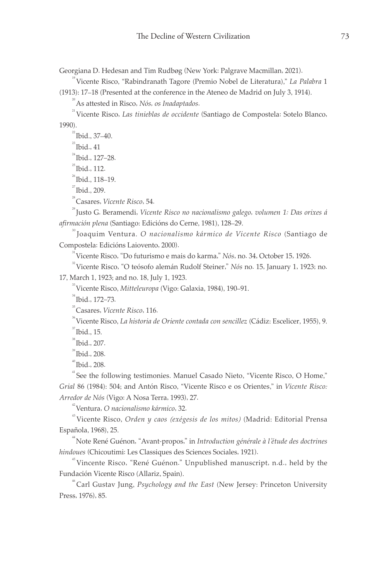Georgiana D. Hedesan and Tim Rudbøg (New York: Palgrave Macmillan, 2021).

19 Vicente Risco, "Rabindranath Tagore (Premio Nobel de Literatura)," *La Palabra* 1

(1913): 17–18 (Presented at the conference in the Ateneo de Madrid on July 3, 1914).

20 As attested in Risco, *Nós, os Inadaptados*.

<sup>21</sup> Vicente Risco, *Las tinieblas de occidente* (Santiago de Compostela: Sotelo Blanco, 1990).

 $^{22}$  Ibid., 37-40.

 $23$  Ibid., 41

 $24$  Ibid., 127-28.

 $^{25}$  Ibid., 112.

 $^{26}$  Ibid., 118-19.

 $^{27}$  Ibid., 209.

28 Casares, *Vicente Risco*, 54.

29 Justo G. Beramendi, *Vicente Risco no nacionalismo galego, volumen 1: Das orixes á afirmación plena* (Santiago: Edicións do Cerne, 1981), 128–29.

 $^{{\rm \text{\tiny Q}}\text{\rm\,}}$ Joaquim Ventura. *O nacionalismo kármico de Vicente Risco* (Santiago de Compostela: Edicións Laiovento, 2000).

31 Vicente Risco, "Do futurismo e mais do karma," *Nós*, no. 34, October 15, 1926.

32 Vicente Risco, "O teósofo alemán Rudolf Steiner," *Nós* no. 15, January 1, 1923; no. 17, March 1, 1923; and no. 18, July 1, 1923.

33 Vicente Risco, *Mitteleuropa* (Vigo: Galaxia, 1984), 190–91.

34 Ibid., 172–73.

35 Casares, *Vicente Risco*, 116.

36 Vicente Risco, *La historia de Oriente contada con sencillez* (Cádiz: Escelicer, 1955), 9.  $\mathrm{J}^{\mathrm{37}}$  Ibid., 15.

 $\mathrm{^{38}}$ Ibid., 207.

 $\degree$ Tbid., 208.

 $\mathrm{^{40}Ibid.}, 208.$ 

<sup>41</sup> See the following testimonies. Manuel Casado Nieto, "Vicente Risco, O Home," *Grial* 86 (1984): 504; and Antón Risco, "Vicente Risco e os Orientes," in *Vicente Risco: Arredor de Nós* (Vigo: A Nosa Terra, 1993), 27.

<sup>42</sup> Ventura, *O nacionalismo kármico*, 32.

43 Vicente Risco, *Orden y caos (exégesis de los mitos)* (Madrid: Editorial Prensa Española, 1968), 25.

44 Note René Guénon, "Avant-propos," in *Introduction générale à l'étude des doctrines hindoues* (Chicoutimi: Les Classiques des Sciences Sociales, 1921).

45 Vincente Risco, "René Guénon." Unpublished manuscript, n.d., held by the Fundación Vicente Risco (Allariz, Spain).

46 Carl Gustav Jung, *Psychology and the East* (New Jersey: Princeton University Press, 1976), 85.